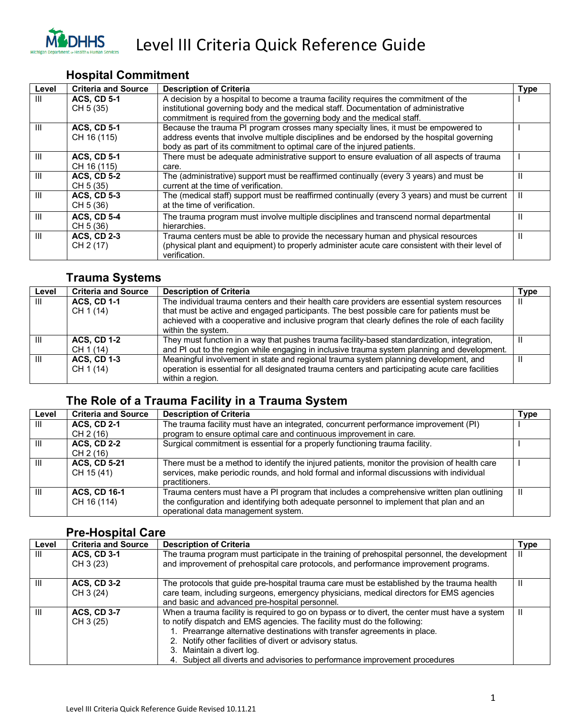

#### **Hospital Commitment**

| Level | <b>Criteria and Source</b>        | <b>Description of Criteria</b>                                                                                                                                                                                                                               | <b>Type</b> |
|-------|-----------------------------------|--------------------------------------------------------------------------------------------------------------------------------------------------------------------------------------------------------------------------------------------------------------|-------------|
| Ш     | <b>ACS, CD 5-1</b><br>CH 5 (35)   | A decision by a hospital to become a trauma facility requires the commitment of the<br>institutional governing body and the medical staff. Documentation of administrative                                                                                   |             |
|       |                                   | commitment is required from the governing body and the medical staff.                                                                                                                                                                                        |             |
| Ш     | <b>ACS, CD 5-1</b><br>CH 16 (115) | Because the trauma PI program crosses many specialty lines, it must be empowered to<br>address events that involve multiple disciplines and be endorsed by the hospital governing<br>body as part of its commitment to optimal care of the injured patients. |             |
| Ш     | <b>ACS, CD 5-1</b><br>CH 16 (115) | There must be adequate administrative support to ensure evaluation of all aspects of trauma<br>care.                                                                                                                                                         |             |
| Ш     | <b>ACS, CD 5-2</b><br>CH 5 (35)   | The (administrative) support must be reaffirmed continually (every 3 years) and must be<br>current at the time of verification.                                                                                                                              | Ш           |
| Ш     | <b>ACS, CD 5-3</b><br>CH 5 (36)   | The (medical staff) support must be reaffirmed continually (every 3 years) and must be current<br>at the time of verification.                                                                                                                               | Ш           |
| Ш     | <b>ACS, CD 5-4</b><br>CH 5 (36)   | The trauma program must involve multiple disciplines and transcend normal departmental<br>hierarchies.                                                                                                                                                       | Ш           |
| Ш     | <b>ACS, CD 2-3</b><br>CH 2 (17)   | Trauma centers must be able to provide the necessary human and physical resources<br>(physical plant and equipment) to properly administer acute care consistent with their level of<br>verification.                                                        | Ш           |

#### **Trauma Systems**

| Level | <b>Criteria and Source</b>      | <b>Description of Criteria</b>                                                                                                                                                                                                                                                                                      | <b>Type</b> |
|-------|---------------------------------|---------------------------------------------------------------------------------------------------------------------------------------------------------------------------------------------------------------------------------------------------------------------------------------------------------------------|-------------|
| Ш     | <b>ACS, CD 1-1</b><br>CH 1 (14) | The individual trauma centers and their health care providers are essential system resources<br>that must be active and engaged participants. The best possible care for patients must be<br>achieved with a cooperative and inclusive program that clearly defines the role of each facility<br>within the system. | Ш           |
| Ш     | <b>ACS. CD 1-2</b><br>CH 1 (14) | They must function in a way that pushes trauma facility-based standardization, integration,<br>and PI out to the region while engaging in inclusive trauma system planning and development.                                                                                                                         | Ш           |
| Ш     | <b>ACS, CD 1-3</b><br>CH 1 (14) | Meaningful involvement in state and regional trauma system planning development, and<br>operation is essential for all designated trauma centers and participating acute care facilities<br>within a region.                                                                                                        |             |

#### **The Role of a Trauma Facility in a Trauma System**

| Level        | <b>Criteria and Source</b>         | <b>Description of Criteria</b>                                                                                                                                                                                               | <b>Type</b> |
|--------------|------------------------------------|------------------------------------------------------------------------------------------------------------------------------------------------------------------------------------------------------------------------------|-------------|
| Ш            | <b>ACS, CD 2-1</b><br>CH 2 (16)    | The trauma facility must have an integrated, concurrent performance improvement (PI)<br>program to ensure optimal care and continuous improvement in care.                                                                   |             |
| Ш            | <b>ACS, CD 2-2</b><br>CH 2 (16)    | Surgical commitment is essential for a properly functioning trauma facility.                                                                                                                                                 |             |
| Ш            | <b>ACS, CD 5-21</b><br>CH 15 (41)  | There must be a method to identify the injured patients, monitor the provision of health care<br>services, make periodic rounds, and hold formal and informal discussions with individual<br>practitioners.                  |             |
| $\mathbf{H}$ | <b>ACS. CD 16-1</b><br>CH 16 (114) | Trauma centers must have a PI program that includes a comprehensive written plan outlining<br>the configuration and identifying both adequate personnel to implement that plan and an<br>operational data management system. | Ш           |

#### **Pre-Hospital Care**

| Level | <b>Criteria and Source</b> | <b>Description of Criteria</b>                                                                 | Type |
|-------|----------------------------|------------------------------------------------------------------------------------------------|------|
| Ш     | <b>ACS, CD 3-1</b>         | The trauma program must participate in the training of prehospital personnel, the development  |      |
|       | CH 3 (23)                  | and improvement of prehospital care protocols, and performance improvement programs.           |      |
| Ш     | <b>ACS, CD 3-2</b>         | The protocols that guide pre-hospital trauma care must be established by the trauma health     | Ш    |
|       | CH 3 (24)                  | care team, including surgeons, emergency physicians, medical directors for EMS agencies        |      |
|       |                            | and basic and advanced pre-hospital personnel.                                                 |      |
| Ш     | <b>ACS, CD 3-7</b>         | When a trauma facility is required to go on bypass or to divert, the center must have a system | ш    |
|       | CH 3 (25)                  | to notify dispatch and EMS agencies. The facility must do the following:                       |      |
|       |                            | . Prearrange alternative destinations with transfer agreements in place.                       |      |
|       |                            | 2. Notify other facilities of divert or advisory status.                                       |      |
|       |                            | 3. Maintain a divert log.                                                                      |      |
|       |                            | 4. Subject all diverts and advisories to performance improvement procedures                    |      |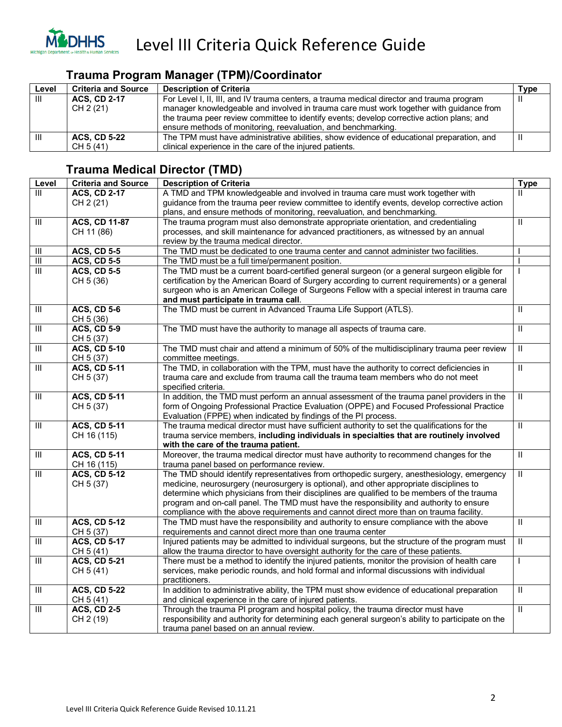

#### **Trauma Program Manager (TPM)/Coordinator**

| Level | Criteria and Source | <b>Description of Criteria</b>                                                            | <b>Type</b> |
|-------|---------------------|-------------------------------------------------------------------------------------------|-------------|
| Ш     | <b>ACS, CD 2-17</b> | For Level I, II, III, and IV trauma centers, a trauma medical director and trauma program |             |
|       | CH 2 (21)           | manager knowledgeable and involved in trauma care must work together with guidance from   |             |
|       |                     | the trauma peer review committee to identify events; develop corrective action plans; and |             |
|       |                     | ensure methods of monitoring, reevaluation, and benchmarking.                             |             |
| Ш     | <b>ACS, CD 5-22</b> | The TPM must have administrative abilities, show evidence of educational preparation, and | Ш           |
|       | CH 5 (41)           | clinical experience in the care of the injured patients.                                  |             |

#### **Trauma Medical Director (TMD)**

| Level                              | <b>Criteria and Source</b> | <b>Description of Criteria</b>                                                                    | <b>Type</b>             |
|------------------------------------|----------------------------|---------------------------------------------------------------------------------------------------|-------------------------|
| $\overline{\mathsf{III}}$          | <b>ACS, CD 2-17</b>        | A TMD and TPM knowledgeable and involved in trauma care must work together with                   | $\mathbf{H}$            |
|                                    | CH 2 (21)                  | guidance from the trauma peer review committee to identify events, develop corrective action      |                         |
|                                    |                            | plans, and ensure methods of monitoring, reevaluation, and benchmarking.                          |                         |
| $\overline{\mathbb{I}}$            | <b>ACS, CD 11-87</b>       | The trauma program must also demonstrate appropriate orientation, and credentialing               | $\overline{\mathbb{I}}$ |
|                                    | CH 11 (86)                 | processes, and skill maintenance for advanced practitioners, as witnessed by an annual            |                         |
|                                    |                            | review by the trauma medical director.                                                            |                         |
| Ш                                  | <b>ACS, CD 5-5</b>         | The TMD must be dedicated to one trauma center and cannot administer two facilities.              |                         |
| $\overline{\mathbb{I}}$            | <b>ACS, CD 5-5</b>         | The TMD must be a full time/permanent position.                                                   |                         |
| $\overline{III}$                   | <b>ACS, CD 5-5</b>         | The TMD must be a current board-certified general surgeon (or a general surgeon eligible for      |                         |
|                                    | CH 5 (36)                  | certification by the American Board of Surgery according to current requirements) or a general    |                         |
|                                    |                            | surgeon who is an American College of Surgeons Fellow with a special interest in trauma care      |                         |
|                                    |                            | and must participate in trauma call.                                                              |                         |
| $\ensuremath{\mathsf{III}}\xspace$ | <b>ACS, CD 5-6</b>         | The TMD must be current in Advanced Trauma Life Support (ATLS).                                   | $\mathbf{H}$            |
|                                    | CH 5 (36)                  |                                                                                                   |                         |
| $\overline{\mathbb{I}}$            | <b>ACS, CD 5-9</b>         | The TMD must have the authority to manage all aspects of trauma care.                             | $\overline{\mathbb{I}}$ |
|                                    | CH 5 (37)                  |                                                                                                   |                         |
| $\overline{\mathbb{I}}$            | <b>ACS, CD 5-10</b>        | The TMD must chair and attend a minimum of 50% of the multidisciplinary trauma peer review        | $\overline{\mathbb{I}}$ |
|                                    | CH 5 (37)                  | committee meetings.                                                                               |                         |
| $\overline{\mathsf{III}}$          | <b>ACS, CD 5-11</b>        | The TMD, in collaboration with the TPM, must have the authority to correct deficiencies in        | $\overline{\mathbf{u}}$ |
|                                    | CH 5 (37)                  | trauma care and exclude from trauma call the trauma team members who do not meet                  |                         |
|                                    |                            | specified criteria.                                                                               |                         |
| $\overline{\mathbb{I}}$            | <b>ACS, CD 5-11</b>        | In addition, the TMD must perform an annual assessment of the trauma panel providers in the       | $\overline{\mathbb{I}}$ |
|                                    | CH 5 (37)                  | form of Ongoing Professional Practice Evaluation (OPPE) and Focused Professional Practice         |                         |
|                                    |                            | Evaluation (FPPE) when indicated by findings of the PI process.                                   |                         |
| $\overline{\mathbb{I}}$            | <b>ACS, CD 5-11</b>        | The trauma medical director must have sufficient authority to set the qualifications for the      | $\overline{\mathbb{I}}$ |
|                                    | CH 16 (115)                | trauma service members, including individuals in specialties that are routinely involved          |                         |
|                                    |                            | with the care of the trauma patient.                                                              |                         |
| $\overline{\mathbb{H}}$            | <b>ACS, CD 5-11</b>        | Moreover, the trauma medical director must have authority to recommend changes for the            | $\mathbf{H}$            |
|                                    | CH 16 (115)                | trauma panel based on performance review.                                                         |                         |
| $\overline{\mathbb{H}}$            | <b>ACS, CD 5-12</b>        | The TMD should identify representatives from orthopedic surgery, anesthesiology, emergency        | $\overline{\mathbb{I}}$ |
|                                    | CH 5 (37)                  | medicine, neurosurgery (neurosurgery is optional), and other appropriate disciplines to           |                         |
|                                    |                            | determine which physicians from their disciplines are qualified to be members of the trauma       |                         |
|                                    |                            | program and on-call panel. The TMD must have the responsibility and authority to ensure           |                         |
|                                    |                            | compliance with the above requirements and cannot direct more than on trauma facility.            |                         |
| $\overline{\mathbb{I}}$            | <b>ACS, CD 5-12</b>        | The TMD must have the responsibility and authority to ensure compliance with the above            | $\mathbf{I}$            |
|                                    | CH 5 (37)                  | requirements and cannot direct more than one trauma center                                        |                         |
| $\overline{\mathbb{H}}$            | <b>ACS, CD 5-17</b>        | Injured patients may be admitted to individual surgeons, but the structure of the program must    | $\overline{\mathbb{I}}$ |
|                                    | CH 5 (41)                  | allow the trauma director to have oversight authority for the care of these patients.             |                         |
| Ш                                  | <b>ACS, CD 5-21</b>        | There must be a method to identify the injured patients, monitor the provision of health care     |                         |
|                                    | CH 5 (41)                  | services, make periodic rounds, and hold formal and informal discussions with individual          |                         |
|                                    |                            | practitioners.                                                                                    |                         |
| $\mathop{\rm III}$                 | <b>ACS, CD 5-22</b>        | In addition to administrative ability, the TPM must show evidence of educational preparation      | $\overline{\mathbb{I}}$ |
|                                    | CH 5 (41)                  | and clinical experience in the care of injured patients.                                          |                         |
| Ш                                  | <b>ACS, CD 2-5</b>         | Through the trauma PI program and hospital policy, the trauma director must have                  | $\mathbf{I}$            |
|                                    | CH 2 (19)                  | responsibility and authority for determining each general surgeon's ability to participate on the |                         |
|                                    |                            | trauma panel based on an annual review.                                                           |                         |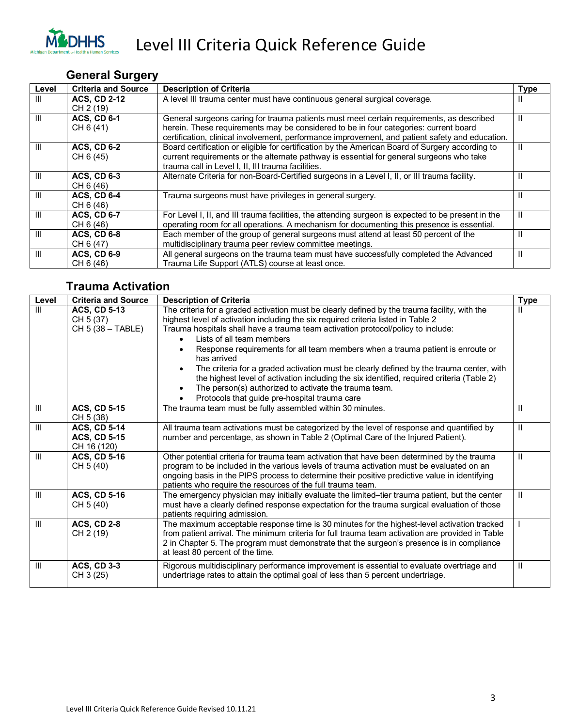

### **General Surgery**

| Level | <b>Criteria and Source</b> | <b>Description of Criteria</b>                                                                     | <b>Type</b> |
|-------|----------------------------|----------------------------------------------------------------------------------------------------|-------------|
| Ш     | <b>ACS, CD 2-12</b>        | A level III trauma center must have continuous general surgical coverage.                          | Ш           |
|       | CH 2 (19)                  |                                                                                                    |             |
| Ш     | <b>ACS, CD 6-1</b>         | General surgeons caring for trauma patients must meet certain requirements, as described           | Ш           |
|       | CH 6 (41)                  | herein. These requirements may be considered to be in four categories: current board               |             |
|       |                            | certification, clinical involvement, performance improvement, and patient safety and education.    |             |
| Ш     | <b>ACS, CD 6-2</b>         | Board certification or eligible for certification by the American Board of Surgery according to    | Ш           |
|       | CH 6 (45)                  | current requirements or the alternate pathway is essential for general surgeons who take           |             |
|       |                            | trauma call in Level I, II, III trauma facilities.                                                 |             |
| Ш     | <b>ACS, CD 6-3</b>         | Alternate Criteria for non-Board-Certified surgeons in a Level I, II, or III trauma facility.      | Ш           |
|       | CH 6 (46)                  |                                                                                                    |             |
| Ш     | <b>ACS, CD 6-4</b>         | Trauma surgeons must have privileges in general surgery.                                           | Ш           |
|       | CH 6 (46)                  |                                                                                                    |             |
| Ш     | <b>ACS, CD 6-7</b>         | For Level I, II, and III trauma facilities, the attending surgeon is expected to be present in the | Ш           |
|       | CH 6 (46)                  | operating room for all operations. A mechanism for documenting this presence is essential.         |             |
| Ш     | <b>ACS. CD 6-8</b>         | Each member of the group of general surgeons must attend at least 50 percent of the                | Ш           |
|       | CH 6 (47)                  | multidisciplinary trauma peer review committee meetings.                                           |             |
| Ш     | <b>ACS, CD 6-9</b>         | All general surgeons on the trauma team must have successfully completed the Advanced              | Ш           |
|       | CH 6 (46)                  | Trauma Life Support (ATLS) course at least once.                                                   |             |

#### **Trauma Activation**

| Level          | <b>Criteria and Source</b> | <b>Description of Criteria</b>                                                                                                | <b>Type</b> |
|----------------|----------------------------|-------------------------------------------------------------------------------------------------------------------------------|-------------|
| III            | <b>ACS, CD 5-13</b>        | The criteria for a graded activation must be clearly defined by the trauma facility, with the                                 | Ш           |
|                | CH 5 (37)                  | highest level of activation including the six required criteria listed in Table 2                                             |             |
|                | CH 5 (38 - TABLE)          | Trauma hospitals shall have a trauma team activation protocol/policy to include:                                              |             |
|                |                            | Lists of all team members                                                                                                     |             |
|                |                            | Response requirements for all team members when a trauma patient is enroute or<br>has arrived                                 |             |
|                |                            | The criteria for a graded activation must be clearly defined by the trauma center, with                                       |             |
|                |                            | the highest level of activation including the six identified, required criteria (Table 2)                                     |             |
|                |                            | The person(s) authorized to activate the trauma team.                                                                         |             |
|                |                            | Protocols that guide pre-hospital trauma care                                                                                 |             |
| $\mathbf{III}$ | <b>ACS, CD 5-15</b>        | The trauma team must be fully assembled within 30 minutes.                                                                    | Ш           |
|                | CH 5 (38)                  |                                                                                                                               |             |
| $\mathbf{III}$ | <b>ACS, CD 5-14</b>        | All trauma team activations must be categorized by the level of response and quantified by                                    | Ш           |
|                | <b>ACS, CD 5-15</b>        | number and percentage, as shown in Table 2 (Optimal Care of the Injured Patient).                                             |             |
|                | CH 16 (120)                |                                                                                                                               |             |
| Ш              | <b>ACS, CD 5-16</b>        | Other potential criteria for trauma team activation that have been determined by the trauma                                   | Ш           |
|                | CH 5 (40)                  | program to be included in the various levels of trauma activation must be evaluated on an                                     |             |
|                |                            | ongoing basis in the PIPS process to determine their positive predictive value in identifying                                 |             |
|                |                            | patients who require the resources of the full trauma team.                                                                   |             |
| $\mathbf{III}$ | $ACS$ , $CD$ 5-16          | The emergency physician may initially evaluate the limited–tier trauma patient, but the center                                | Ш           |
|                | CH 5 (40)                  | must have a clearly defined response expectation for the trauma surgical evaluation of those                                  |             |
|                |                            | patients requiring admission.                                                                                                 |             |
| III            | <b>ACS, CD 2-8</b>         | The maximum acceptable response time is 30 minutes for the highest-level activation tracked                                   |             |
|                | CH 2 (19)                  | from patient arrival. The minimum criteria for full trauma team activation are provided in Table                              |             |
|                |                            | 2 in Chapter 5. The program must demonstrate that the surgeon's presence is in compliance<br>at least 80 percent of the time. |             |
|                |                            |                                                                                                                               |             |
| Ш              | <b>ACS, CD 3-3</b>         | Rigorous multidisciplinary performance improvement is essential to evaluate overtriage and                                    | Ш           |
|                | CH 3 (25)                  | undertriage rates to attain the optimal goal of less than 5 percent undertriage.                                              |             |
|                |                            |                                                                                                                               |             |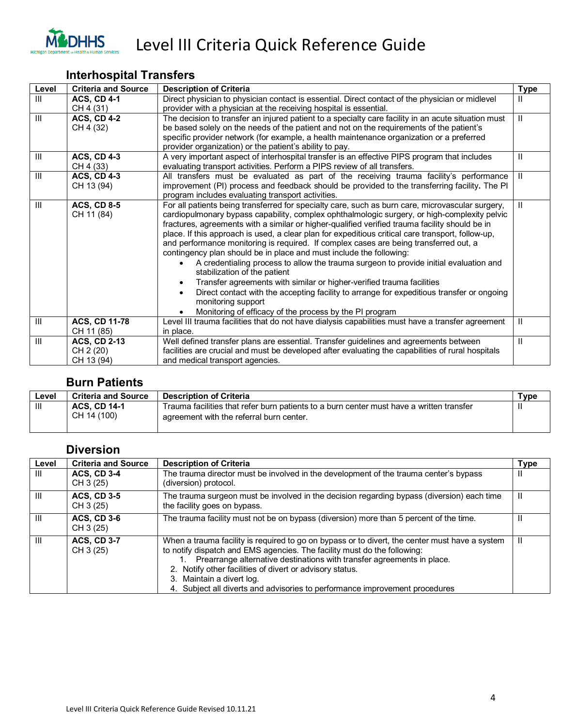

#### **Interhospital Transfers**

| Level          | <b>Criteria and Source</b> | <b>Description of Criteria</b>                                                                         | <b>Type</b> |
|----------------|----------------------------|--------------------------------------------------------------------------------------------------------|-------------|
| Ш              | <b>ACS, CD 4-1</b>         | Direct physician to physician contact is essential. Direct contact of the physician or midlevel        | Ш           |
|                | CH 4 (31)                  | provider with a physician at the receiving hospital is essential.                                      |             |
| $\mathbf{III}$ | <b>ACS, CD 4-2</b>         | The decision to transfer an injured patient to a specialty care facility in an acute situation must    | Ш           |
|                | CH 4 (32)                  | be based solely on the needs of the patient and not on the requirements of the patient's               |             |
|                |                            | specific provider network (for example, a health maintenance organization or a preferred               |             |
|                |                            | provider organization) or the patient's ability to pay.                                                |             |
| Ш              | <b>ACS, CD 4-3</b>         | A very important aspect of interhospital transfer is an effective PIPS program that includes           | Ш           |
|                | CH 4 (33)                  | evaluating transport activities. Perform a PIPS review of all transfers.                               |             |
| $\mathbf{III}$ | <b>ACS, CD 4-3</b>         | All transfers must be evaluated as part of the receiving trauma facility's performance                 | Ш           |
|                | CH 13 (94)                 | improvement (PI) process and feedback should be provided to the transferring facility. The PI          |             |
|                |                            | program includes evaluating transport activities.                                                      |             |
| $\mathbf{III}$ | <b>ACS, CD 8-5</b>         | For all patients being transferred for specialty care, such as burn care, microvascular surgery,       | Ш           |
|                | CH 11 (84)                 | cardiopulmonary bypass capability, complex ophthalmologic surgery, or high-complexity pelvic           |             |
|                |                            | fractures, agreements with a similar or higher-qualified verified trauma facility should be in         |             |
|                |                            | place. If this approach is used, a clear plan for expeditious critical care transport, follow-up,      |             |
|                |                            | and performance monitoring is required. If complex cases are being transferred out, a                  |             |
|                |                            | contingency plan should be in place and must include the following:                                    |             |
|                |                            | A credentialing process to allow the trauma surgeon to provide initial evaluation and                  |             |
|                |                            | stabilization of the patient                                                                           |             |
|                |                            | Transfer agreements with similar or higher-verified trauma facilities<br>$\bullet$                     |             |
|                |                            | Direct contact with the accepting facility to arrange for expeditious transfer or ongoing<br>$\bullet$ |             |
|                |                            | monitoring support                                                                                     |             |
|                |                            | Monitoring of efficacy of the process by the PI program                                                |             |
| Ш              | <b>ACS, CD 11-78</b>       | Level III trauma facilities that do not have dialysis capabilities must have a transfer agreement      | Ш           |
|                | CH 11 (85)                 | in place.                                                                                              |             |
| $\mathsf{III}$ | <b>ACS, CD 2-13</b>        | Well defined transfer plans are essential. Transfer guidelines and agreements between                  | Ш           |
|                | CH 2 (20)                  | facilities are crucial and must be developed after evaluating the capabilities of rural hospitals      |             |
|                | CH 13 (94)                 | and medical transport agencies.                                                                        |             |

#### **Burn Patients**

| Level | <b>Criteria and Source</b> | <b>Description of Criteria</b>                                                           | Туре |
|-------|----------------------------|------------------------------------------------------------------------------------------|------|
| Ш     | <b>ACS, CD 14-1</b>        | Trauma facilities that refer burn patients to a burn center must have a written transfer |      |
|       | CH 14 (100)                | agreement with the referral burn center.                                                 |      |

#### **Diversion Level Criteria and Source Description of Criteria Type Type Type** III **ACS, CD 3-4** CH 3 (25) The trauma director must be involved in the development of the trauma center's bypass (diversion) protocol. II III **ACS, CD 3-5** CH 3 (25) The trauma surgeon must be involved in the decision regarding bypass (diversion) each time the facility goes on bypass.  $\overline{\mathsf{I}}$ III **ACS, CD 3-6** CH 3 (25) The trauma facility must not be on bypass (diversion) more than 5 percent of the time. III **ACS, CD 3-7** CH 3 (25) When a trauma facility is required to go on bypass or to divert, the center must have a system to notify dispatch and EMS agencies. The facility must do the following: 1. Prearrange alternative destinations with transfer agreements in place. 2. Notify other facilities of divert or advisory status. 3. Maintain a divert log. 4. Subject all diverts and advisories to performance improvement procedures  $\overline{\mathsf{I}}$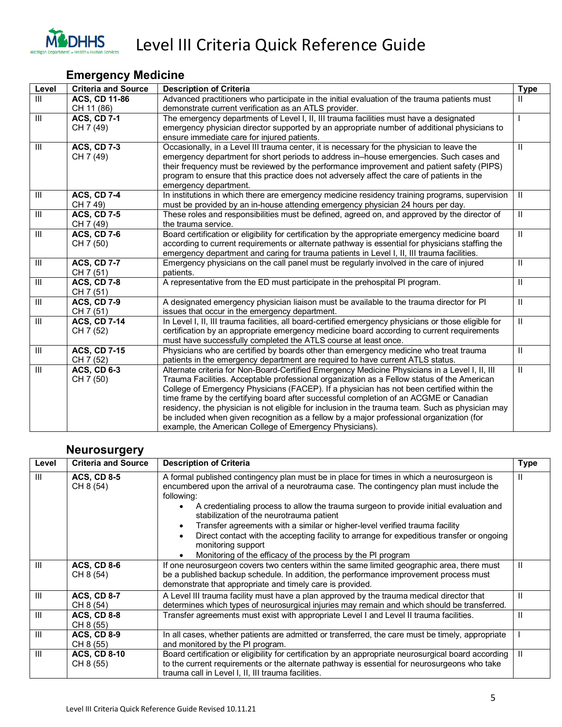

#### **Emergency Medicine**

| Level                              | <b>Criteria and Source</b> | <b>Description of Criteria</b>                                                                        | <b>Type</b>               |
|------------------------------------|----------------------------|-------------------------------------------------------------------------------------------------------|---------------------------|
| III                                | <b>ACS, CD 11-86</b>       | Advanced practitioners who participate in the initial evaluation of the trauma patients must          | Ш                         |
|                                    | CH 11 (86)                 | demonstrate current verification as an ATLS provider.                                                 |                           |
| $\mathbf{III}$                     | <b>ACS, CD 7-1</b>         | The emergency departments of Level I, II, III trauma facilities must have a designated                |                           |
|                                    | CH 7 (49)                  | emergency physician director supported by an appropriate number of additional physicians to           |                           |
|                                    |                            | ensure immediate care for injured patients.                                                           |                           |
| III                                | <b>ACS, CD 7-3</b>         | Occasionally, in a Level III trauma center, it is necessary for the physician to leave the            | $\mathbf{H}$              |
|                                    | CH 7 (49)                  | emergency department for short periods to address in-house emergencies. Such cases and                |                           |
|                                    |                            | their frequency must be reviewed by the performance improvement and patient safety (PIPS)             |                           |
|                                    |                            | program to ensure that this practice does not adversely affect the care of patients in the            |                           |
|                                    |                            | emergency department.                                                                                 |                           |
| $\mathbf{III}$                     | <b>ACS, CD 7-4</b>         | In institutions in which there are emergency medicine residency training programs, supervision        | $\mathbf{H}$              |
|                                    | CH 7 49)                   | must be provided by an in-house attending emergency physician 24 hours per day.                       |                           |
| Ш                                  | <b>ACS, CD 7-5</b>         | These roles and responsibilities must be defined, agreed on, and approved by the director of          | $\mathbf{H}$              |
|                                    | CH 7 (49)                  | the trauma service.                                                                                   |                           |
| $\mathbf{III}$                     | <b>ACS, CD 7-6</b>         | Board certification or eligibility for certification by the appropriate emergency medicine board      | $\mathbf{H}$              |
|                                    | CH 7 (50)                  | according to current requirements or alternate pathway is essential for physicians staffing the       |                           |
|                                    |                            | emergency department and caring for trauma patients in Level I, II, III trauma facilities.            |                           |
| Ш                                  | <b>ACS, CD 7-7</b>         | Emergency physicians on the call panel must be regularly involved in the care of injured              | $\mathbf{H}$              |
|                                    | CH 7 (51)                  | patients.                                                                                             |                           |
| $\mathbf{III}$                     | <b>ACS, CD 7-8</b>         | A representative from the ED must participate in the prehospital PI program.                          | $\mathbf{H}$              |
|                                    | CH 7 (51)                  |                                                                                                       |                           |
| III                                | <b>ACS, CD 7-9</b>         | A designated emergency physician liaison must be available to the trauma director for PI              | $\mathbf{H}$              |
|                                    | CH 7 (51)                  | issues that occur in the emergency department.                                                        |                           |
| $\overline{\mathbb{H}}$            | <b>ACS, CD 7-14</b>        | In Level I, II, III trauma facilities, all board-certified emergency physicians or those eligible for | $\overline{\mathbb{I}}$   |
|                                    | CH 7 (52)                  | certification by an appropriate emergency medicine board according to current requirements            |                           |
|                                    |                            | must have successfully completed the ATLS course at least once.                                       |                           |
| $\ensuremath{\mathsf{III}}\xspace$ | <b>ACS, CD 7-15</b>        | Physicians who are certified by boards other than emergency medicine who treat trauma                 | $\ensuremath{\mathsf{H}}$ |
|                                    | CH 7 (52)                  | patients in the emergency department are required to have current ATLS status.                        |                           |
| III                                | <b>ACS, CD 6-3</b>         | Alternate criteria for Non-Board-Certified Emergency Medicine Physicians in a Level I, II, III        | $\mathbf{H}$              |
|                                    | CH 7 (50)                  | Trauma Facilities. Acceptable professional organization as a Fellow status of the American            |                           |
|                                    |                            | College of Emergency Physicians (FACEP). If a physician has not been certified within the             |                           |
|                                    |                            | time frame by the certifying board after successful completion of an ACGME or Canadian                |                           |
|                                    |                            | residency, the physician is not eligible for inclusion in the trauma team. Such as physician may      |                           |
|                                    |                            | be included when given recognition as a fellow by a major professional organization (for              |                           |
|                                    |                            | example, the American College of Emergency Physicians).                                               |                           |

#### **Neurosurgery**

| Level | <b>Criteria and Source</b>       | <b>Description of Criteria</b>                                                                                                                                                                                                                                                                                                                                                                                                                                                                                                                                                                            | <b>Type</b> |
|-------|----------------------------------|-----------------------------------------------------------------------------------------------------------------------------------------------------------------------------------------------------------------------------------------------------------------------------------------------------------------------------------------------------------------------------------------------------------------------------------------------------------------------------------------------------------------------------------------------------------------------------------------------------------|-------------|
| Ш     | <b>ACS, CD 8-5</b><br>CH 8 (54)  | A formal published contingency plan must be in place for times in which a neurosurgeon is<br>encumbered upon the arrival of a neurotrauma case. The contingency plan must include the<br>following:<br>A credentialing process to allow the trauma surgeon to provide initial evaluation and<br>stabilization of the neurotrauma patient<br>Transfer agreements with a similar or higher-level verified trauma facility<br>Direct contact with the accepting facility to arrange for expeditious transfer or ongoing<br>monitoring support<br>Monitoring of the efficacy of the process by the PI program | Ш           |
| Ш     | <b>ACS, CD 8-6</b><br>CH 8 (54)  | If one neurosurgeon covers two centers within the same limited geographic area, there must<br>be a published backup schedule. In addition, the performance improvement process must<br>demonstrate that appropriate and timely care is provided.                                                                                                                                                                                                                                                                                                                                                          | Ш           |
| Ш     | <b>ACS, CD 8-7</b><br>CH 8 (54)  | A Level III trauma facility must have a plan approved by the trauma medical director that<br>determines which types of neurosurgical injuries may remain and which should be transferred.                                                                                                                                                                                                                                                                                                                                                                                                                 | Ш           |
| Ш     | <b>ACS, CD 8-8</b><br>CH 8 (55)  | Transfer agreements must exist with appropriate Level I and Level II trauma facilities.                                                                                                                                                                                                                                                                                                                                                                                                                                                                                                                   | Ш           |
| Ш     | <b>ACS, CD 8-9</b><br>CH 8 (55)  | In all cases, whether patients are admitted or transferred, the care must be timely, appropriate<br>and monitored by the PI program.                                                                                                                                                                                                                                                                                                                                                                                                                                                                      |             |
| Ш     | <b>ACS, CD 8-10</b><br>CH 8 (55) | Board certification or eligibility for certification by an appropriate neurosurgical board according<br>to the current requirements or the alternate pathway is essential for neurosurgeons who take<br>trauma call in Level I, II, III trauma facilities.                                                                                                                                                                                                                                                                                                                                                | Ш           |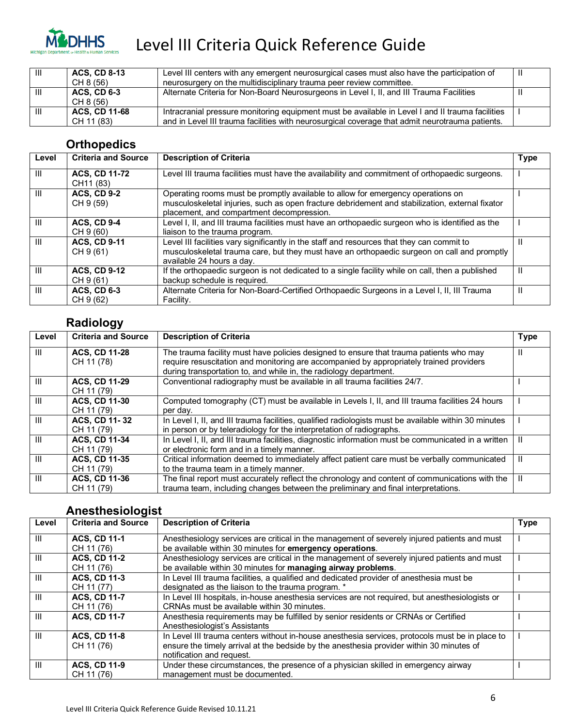

| Ш | <b>ACS, CD 8-13</b><br>CH 8 (56) | Level III centers with any emergent neurosurgical cases must also have the participation of<br>neurosurgery on the multidisciplinary trauma peer review committee. | ш |
|---|----------------------------------|--------------------------------------------------------------------------------------------------------------------------------------------------------------------|---|
| Ш | <b>ACS, CD 6-3</b><br>CH 8 (56)  | Alternate Criteria for Non-Board Neurosurgeons in Level I, II, and III Trauma Facilities                                                                           |   |
| Ш | <b>ACS, CD 11-68</b>             | Intracranial pressure monitoring equipment must be available in Level I and II trauma facilities                                                                   |   |
|   | CH 11 (83)                       | and in Level III trauma facilities with neurosurgical coverage that admit neurotrauma patients.                                                                    |   |

#### **Orthopedics**

| Level | <b>Criteria and Source</b>        | <b>Description of Criteria</b>                                                                                                                                                                                                  | <b>Type</b> |
|-------|-----------------------------------|---------------------------------------------------------------------------------------------------------------------------------------------------------------------------------------------------------------------------------|-------------|
| Ш     | <b>ACS, CD 11-72</b><br>CH11 (83) | Level III trauma facilities must have the availability and commitment of orthopaedic surgeons.                                                                                                                                  |             |
| Ш     | <b>ACS. CD 9-2</b><br>CH 9 (59)   | Operating rooms must be promptly available to allow for emergency operations on<br>musculoskeletal injuries, such as open fracture debridement and stabilization, external fixator<br>placement, and compartment decompression. |             |
| Ш     | <b>ACS, CD 9-4</b><br>CH 9 (60)   | Level I, II, and III trauma facilities must have an orthopaedic surgeon who is identified as the<br>liaison to the trauma program.                                                                                              |             |
| Ш     | <b>ACS. CD 9-11</b><br>CH 9 (61)  | Level III facilities vary significantly in the staff and resources that they can commit to<br>musculoskeletal trauma care, but they must have an orthopaedic surgeon on call and promptly<br>available 24 hours a day.          | Ш           |
| Ш     | <b>ACS, CD 9-12</b><br>CH 9 (61)  | If the orthopaedic surgeon is not dedicated to a single facility while on call, then a published<br>backup schedule is required.                                                                                                | Ш           |
| Ш     | <b>ACS, CD 6-3</b><br>CH 9 (62)   | Alternate Criteria for Non-Board-Certified Orthopaedic Surgeons in a Level I, II, III Trauma<br>Facility.                                                                                                                       | Ш           |

#### **Radiology**

| Level | <b>Criteria and Source</b>         | <b>Description of Criteria</b>                                                                                                                                                                                                                         | <b>Type</b> |
|-------|------------------------------------|--------------------------------------------------------------------------------------------------------------------------------------------------------------------------------------------------------------------------------------------------------|-------------|
| Ш     | <b>ACS, CD 11-28</b><br>CH 11 (78) | The trauma facility must have policies designed to ensure that trauma patients who may<br>require resuscitation and monitoring are accompanied by appropriately trained providers<br>during transportation to, and while in, the radiology department. | Ш           |
| Ш     | <b>ACS. CD 11-29</b><br>CH 11 (79) | Conventional radiography must be available in all trauma facilities 24/7.                                                                                                                                                                              |             |
| Ш     | <b>ACS. CD 11-30</b><br>CH 11 (79) | Computed tomography (CT) must be available in Levels I, II, and III trauma facilities 24 hours<br>per day.                                                                                                                                             |             |
| Ш     | ACS, CD 11-32<br>CH 11 (79)        | In Level I, II, and III trauma facilities, qualified radiologists must be available within 30 minutes<br>in person or by teleradiology for the interpretation of radiographs.                                                                          |             |
| Ш     | <b>ACS. CD 11-34</b><br>CH 11 (79) | In Level I, II, and III trauma facilities, diagnostic information must be communicated in a written<br>or electronic form and in a timely manner.                                                                                                      | Ш           |
| III   | <b>ACS, CD 11-35</b><br>CH 11 (79) | Critical information deemed to immediately affect patient care must be verbally communicated<br>to the trauma team in a timely manner.                                                                                                                 | Ш           |
| Ш     | <b>ACS, CD 11-36</b><br>CH 11 (79) | The final report must accurately reflect the chronology and content of communications with the<br>trauma team, including changes between the preliminary and final interpretations.                                                                    | Ш           |

#### **Anesthesiologist**

| Level | <b>Criteria and Source</b> | <b>Description of Criteria</b>                                                                  | <b>Type</b> |
|-------|----------------------------|-------------------------------------------------------------------------------------------------|-------------|
| Ш     | <b>ACS. CD 11-1</b>        | Anesthesiology services are critical in the management of severely injured patients and must    |             |
|       | CH 11 (76)                 | be available within 30 minutes for emergency operations.                                        |             |
| Ш     | <b>ACS, CD 11-2</b>        | Anesthesiology services are critical in the management of severely injured patients and must    |             |
|       | CH 11 (76)                 | be available within 30 minutes for managing airway problems.                                    |             |
| Ш     | <b>ACS. CD 11-3</b>        | In Level III trauma facilities, a qualified and dedicated provider of anesthesia must be        |             |
|       | CH 11 (77)                 | designated as the liaison to the trauma program. *                                              |             |
| Ш     | <b>ACS. CD 11-7</b>        | In Level III hospitals, in-house anesthesia services are not required, but anesthesiologists or |             |
|       | CH 11 (76)                 | CRNAs must be available within 30 minutes.                                                      |             |
| Ш     | <b>ACS. CD 11-7</b>        | Anesthesia requirements may be fulfilled by senior residents or CRNAs or Certified              |             |
|       |                            | Anesthesiologist's Assistants                                                                   |             |
| Ш     | <b>ACS, CD 11-8</b>        | In Level III trauma centers without in-house anesthesia services, protocols must be in place to |             |
|       | CH 11 (76)                 | ensure the timely arrival at the bedside by the anesthesia provider within 30 minutes of        |             |
|       |                            | notification and request.                                                                       |             |
| Ш     | <b>ACS, CD 11-9</b>        | Under these circumstances, the presence of a physician skilled in emergency airway              |             |
|       | CH 11 (76)                 | management must be documented.                                                                  |             |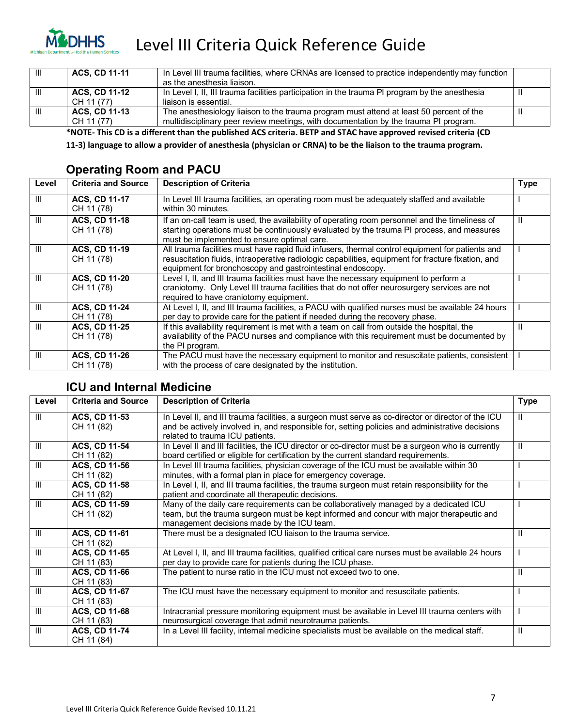

| - III | <b>ACS. CD 11-11</b> | In Level III trauma facilities, where CRNAs are licensed to practice independently may function<br>as the anesthesia liaison. |  |
|-------|----------------------|-------------------------------------------------------------------------------------------------------------------------------|--|
| Ш     | <b>ACS. CD 11-12</b> | In Level I, II, III trauma facilities participation in the trauma PI program by the anesthesia                                |  |
|       | CH 11 (77)           | liaison is essential.                                                                                                         |  |
| Ш     | <b>ACS, CD 11-13</b> | The anesthesiology liaison to the trauma program must attend at least 50 percent of the                                       |  |
|       | CH 11 (77)           | multidisciplinary peer review meetings, with documentation by the trauma PI program.                                          |  |

**\*NOTE- This CD is a different than the published ACS criteria. BETP and STAC have approved revised criteria (CD** 

**11-3) language to allow a provider of anesthesia (physician or CRNA) to be the liaison to the trauma program.**

#### **Operating Room and PACU**

| Level | <b>Criteria and Source</b>         | <b>Description of Criteria</b>                                                                                                                                                                                                                                       | <b>Type</b> |
|-------|------------------------------------|----------------------------------------------------------------------------------------------------------------------------------------------------------------------------------------------------------------------------------------------------------------------|-------------|
| Ш     | <b>ACS, CD 11-17</b><br>CH 11 (78) | In Level III trauma facilities, an operating room must be adequately staffed and available<br>within 30 minutes.                                                                                                                                                     |             |
| Ш     | <b>ACS, CD 11-18</b><br>CH 11 (78) | If an on-call team is used, the availability of operating room personnel and the timeliness of<br>starting operations must be continuously evaluated by the trauma PI process, and measures<br>must be implemented to ensure optimal care.                           | Ш           |
| Ш     | <b>ACS, CD 11-19</b><br>CH 11 (78) | All trauma facilities must have rapid fluid infusers, thermal control equipment for patients and<br>resuscitation fluids, intraoperative radiologic capabilities, equipment for fracture fixation, and<br>equipment for bronchoscopy and gastrointestinal endoscopy. |             |
| Ш     | <b>ACS, CD 11-20</b><br>CH 11 (78) | Level I, II, and III trauma facilities must have the necessary equipment to perform a<br>craniotomy. Only Level III trauma facilities that do not offer neurosurgery services are not<br>required to have craniotomy equipment.                                      |             |
| Ш     | <b>ACS, CD 11-24</b><br>CH 11 (78) | At Level I, II, and III trauma facilities, a PACU with qualified nurses must be available 24 hours<br>per day to provide care for the patient if needed during the recovery phase.                                                                                   |             |
| Ш     | <b>ACS, CD 11-25</b><br>CH 11 (78) | If this availability requirement is met with a team on call from outside the hospital, the<br>availability of the PACU nurses and compliance with this requirement must be documented by<br>the PI program.                                                          | Ш           |
| Ш     | <b>ACS, CD 11-26</b><br>CH 11 (78) | The PACU must have the necessary equipment to monitor and resuscitate patients, consistent<br>with the process of care designated by the institution.                                                                                                                |             |

#### **ICU and Internal Medicine**

| Level          | <b>Criteria and Source</b> | <b>Description of Criteria</b>                                                                       | <b>Type</b>  |
|----------------|----------------------------|------------------------------------------------------------------------------------------------------|--------------|
| $\mathbf{H}$   | ACS, CD 11-53              | In Level II, and III trauma facilities, a surgeon must serve as co-director or director of the ICU   | H.           |
|                | CH 11 (82)                 | and be actively involved in, and responsible for, setting policies and administrative decisions      |              |
|                |                            | related to trauma ICU patients.                                                                      |              |
| III            | ACS, CD 11-54              | In Level II and III facilities, the ICU director or co-director must be a surgeon who is currently   | Ш            |
|                | CH 11 (82)                 | board certified or eligible for certification by the current standard requirements.                  |              |
| $\mathbf{III}$ | <b>ACS, CD 11-56</b>       | In Level III trauma facilities, physician coverage of the ICU must be available within 30            |              |
|                | CH 11 (82)                 | minutes, with a formal plan in place for emergency coverage.                                         |              |
| $\mathbf{III}$ | ACS, CD 11-58              | In Level I, II, and III trauma facilities, the trauma surgeon must retain responsibility for the     |              |
|                | CH 11 (82)                 | patient and coordinate all therapeutic decisions.                                                    |              |
| III            | <b>ACS, CD 11-59</b>       | Many of the daily care requirements can be collaboratively managed by a dedicated ICU                |              |
|                | CH 11 (82)                 | team, but the trauma surgeon must be kept informed and concur with major therapeutic and             |              |
|                |                            | management decisions made by the ICU team.                                                           |              |
| $\mathbf{III}$ | <b>ACS, CD 11-61</b>       | There must be a designated ICU liaison to the trauma service.                                        | Ш            |
|                | CH 11 (82)                 |                                                                                                      |              |
| $\mathbf{III}$ | <b>ACS, CD 11-65</b>       | At Level I, II, and III trauma facilities, qualified critical care nurses must be available 24 hours |              |
|                | CH 11 (83)                 | per day to provide care for patients during the ICU phase.                                           |              |
| $\mathbf{III}$ | <b>ACS, CD 11-66</b>       | The patient to nurse ratio in the ICU must not exceed two to one.                                    | Ш            |
|                | CH 11 (83)                 |                                                                                                      |              |
| $\mathbf{III}$ | <b>ACS, CD 11-67</b>       | The ICU must have the necessary equipment to monitor and resuscitate patients.                       |              |
|                | CH 11 (83)                 |                                                                                                      |              |
| $\mathbf{III}$ | <b>ACS, CD 11-68</b>       | Intracranial pressure monitoring equipment must be available in Level III trauma centers with        |              |
|                | CH 11 (83)                 | neurosurgical coverage that admit neurotrauma patients.                                              |              |
| III            | <b>ACS, CD 11-74</b>       | In a Level III facility, internal medicine specialists must be available on the medical staff.       | $\mathbf{I}$ |
|                | CH 11 (84)                 |                                                                                                      |              |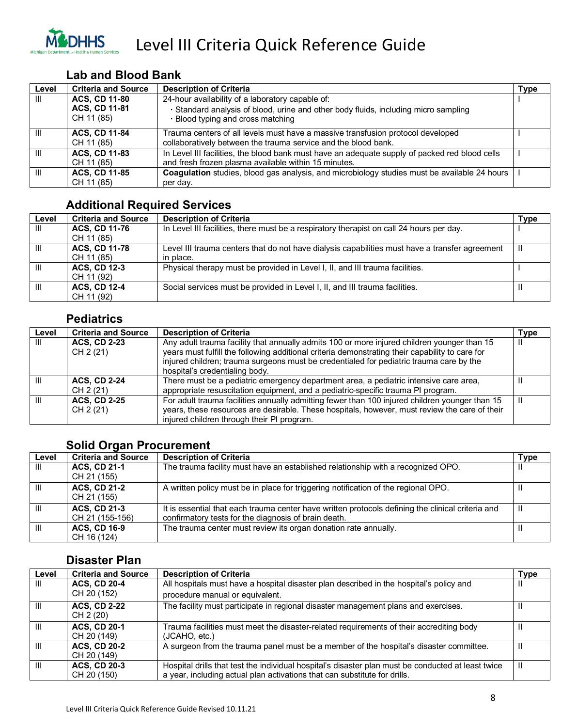

#### **Lab and Blood Bank**

| Level | <b>Criteria and Source</b>                                 | <b>Description of Criteria</b>                                                                                                                                               | Type |
|-------|------------------------------------------------------------|------------------------------------------------------------------------------------------------------------------------------------------------------------------------------|------|
| Ш     | <b>ACS. CD 11-80</b><br><b>ACS, CD 11-81</b><br>CH 11 (85) | 24-hour availability of a laboratory capable of:<br>· Standard analysis of blood, urine and other body fluids, including micro sampling<br>· Blood typing and cross matching |      |
| Ш     | <b>ACS. CD 11-84</b><br>CH 11 (85)                         | Trauma centers of all levels must have a massive transfusion protocol developed<br>collaboratively between the trauma service and the blood bank.                            |      |
| Ш     | <b>ACS, CD 11-83</b><br>CH 11 (85)                         | In Level III facilities, the blood bank must have an adequate supply of packed red blood cells<br>and fresh frozen plasma available within 15 minutes.                       |      |
| Ш     | <b>ACS, CD 11-85</b><br>CH 11 (85)                         | Coagulation studies, blood gas analysis, and microbiology studies must be available 24 hours<br>per day.                                                                     |      |

#### **Additional Required Services**

| Level          | <b>Criteria and Source</b> | <b>Description of Criteria</b>                                                                 | Гуре |
|----------------|----------------------------|------------------------------------------------------------------------------------------------|------|
| Ш              | <b>ACS, CD 11-76</b>       | In Level III facilities, there must be a respiratory therapist on call 24 hours per day.       |      |
|                | CH 11 (85)                 |                                                                                                |      |
| Ш              | <b>ACS, CD 11-78</b>       | Level III trauma centers that do not have dialysis capabilities must have a transfer agreement | Ш    |
|                | CH 11 (85)                 | in place.                                                                                      |      |
| $\mathsf{III}$ | <b>ACS, CD 12-3</b>        | Physical therapy must be provided in Level I, II, and III trauma facilities.                   |      |
|                | CH 11 (92)                 |                                                                                                |      |
| $\mathsf{III}$ | <b>ACS, CD 12-4</b>        | Social services must be provided in Level I, II, and III trauma facilities.                    | Ш    |
|                | CH 11 (92)                 |                                                                                                |      |

#### **Pediatrics**

| Level | <b>Criteria and Source</b>       | <b>Description of Criteria</b>                                                                                                                                                                                                                                                                                              | <b>Type</b> |
|-------|----------------------------------|-----------------------------------------------------------------------------------------------------------------------------------------------------------------------------------------------------------------------------------------------------------------------------------------------------------------------------|-------------|
| Ш     | <b>ACS, CD 2-23</b><br>CH 2 (21) | Any adult trauma facility that annually admits 100 or more injured children younger than 15<br>years must fulfill the following additional criteria demonstrating their capability to care for<br>injured children; trauma surgeons must be credentialed for pediatric trauma care by the<br>hospital's credentialing body. | H           |
| Ш     | <b>ACS. CD 2-24</b><br>CH 2 (21) | There must be a pediatric emergency department area, a pediatric intensive care area,<br>appropriate resuscitation equipment, and a pediatric-specific trauma PI program.                                                                                                                                                   |             |
| Ш     | <b>ACS, CD 2-25</b><br>CH 2 (21) | For adult trauma facilities annually admitting fewer than 100 injured children younger than 15<br>years, these resources are desirable. These hospitals, however, must review the care of their<br>injured children through their PI program.                                                                               | H           |

#### **Solid Organ Procurement**

| Level | <b>Criteria and Source</b>             | <b>Description of Criteria</b>                                                                                                                            | Type |
|-------|----------------------------------------|-----------------------------------------------------------------------------------------------------------------------------------------------------------|------|
| Ш     | <b>ACS. CD 21-1</b><br>CH 21 (155)     | The trauma facility must have an established relationship with a recognized OPO.                                                                          | Ш    |
| Ш     | <b>ACS, CD 21-2</b><br>CH 21 (155)     | A written policy must be in place for triggering notification of the regional OPO.                                                                        | Ш    |
| Ш     | <b>ACS, CD 21-3</b><br>CH 21 (155-156) | It is essential that each trauma center have written protocols defining the clinical criteria and<br>confirmatory tests for the diagnosis of brain death. | Ш    |
| Ш     | <b>ACS, CD 16-9</b><br>CH 16 (124)     | The trauma center must review its organ donation rate annually.                                                                                           |      |

#### **Disaster Plan**

| Level        | <b>Criteria and Source</b>         | <b>Description of Criteria</b>                                                                                                                                                  | <b>Type</b> |
|--------------|------------------------------------|---------------------------------------------------------------------------------------------------------------------------------------------------------------------------------|-------------|
| Ш            | <b>ACS, CD 20-4</b>                | All hospitals must have a hospital disaster plan described in the hospital's policy and                                                                                         |             |
|              | CH 20 (152)                        | procedure manual or equivalent.                                                                                                                                                 |             |
| $\mathbf{H}$ | <b>ACS, CD 2-22</b><br>CH 2 (20)   | The facility must participate in regional disaster management plans and exercises.                                                                                              |             |
| Ш            | <b>ACS, CD 20-1</b><br>CH 20 (149) | Trauma facilities must meet the disaster-related requirements of their accrediting body<br>(JCAHO, etc.)                                                                        |             |
| Ш            | <b>ACS, CD 20-2</b><br>CH 20 (149) | A surgeon from the trauma panel must be a member of the hospital's disaster committee.                                                                                          |             |
| Ш            | <b>ACS, CD 20-3</b><br>CH 20 (150) | Hospital drills that test the individual hospital's disaster plan must be conducted at least twice<br>a year, including actual plan activations that can substitute for drills. | Ш           |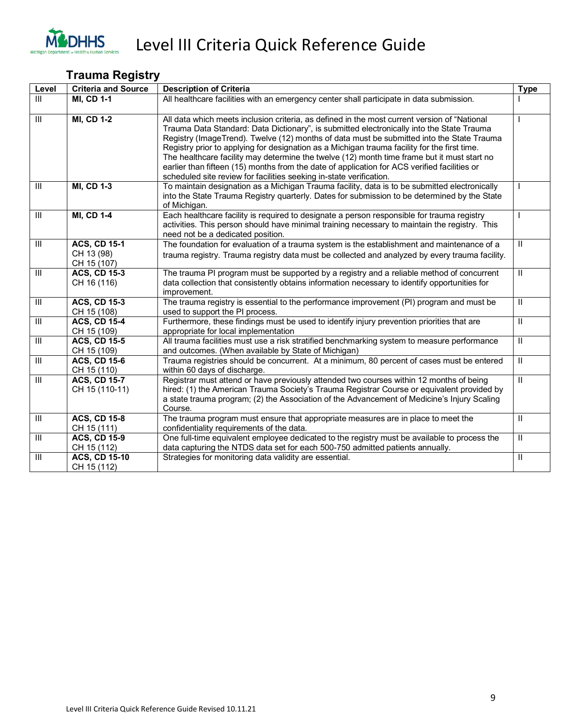

#### **Trauma Registry**

| Level                   | <b>Criteria and Source</b>                       | <b>Description of Criteria</b>                                                                                                                                                                                                                                                                                                                                                                                                                                                                                                                                                                                                                               | <b>Type</b>                |
|-------------------------|--------------------------------------------------|--------------------------------------------------------------------------------------------------------------------------------------------------------------------------------------------------------------------------------------------------------------------------------------------------------------------------------------------------------------------------------------------------------------------------------------------------------------------------------------------------------------------------------------------------------------------------------------------------------------------------------------------------------------|----------------------------|
| III                     | <b>MI, CD 1-1</b>                                | All healthcare facilities with an emergency center shall participate in data submission.                                                                                                                                                                                                                                                                                                                                                                                                                                                                                                                                                                     |                            |
| $\mathbf{III}$          | <b>MI, CD 1-2</b>                                | All data which meets inclusion criteria, as defined in the most current version of "National<br>Trauma Data Standard: Data Dictionary", is submitted electronically into the State Trauma<br>Registry (ImageTrend). Twelve (12) months of data must be submitted into the State Trauma<br>Registry prior to applying for designation as a Michigan trauma facility for the first time.<br>The healthcare facility may determine the twelve (12) month time frame but it must start no<br>earlier than fifteen (15) months from the date of application for ACS verified facilities or<br>scheduled site review for facilities seeking in-state verification. |                            |
| $\mathsf{III}$          | <b>MI, CD 1-3</b>                                | To maintain designation as a Michigan Trauma facility, data is to be submitted electronically<br>into the State Trauma Registry quarterly. Dates for submission to be determined by the State<br>of Michigan.                                                                                                                                                                                                                                                                                                                                                                                                                                                |                            |
| Ш                       | <b>MI, CD 1-4</b>                                | Each healthcare facility is required to designate a person responsible for trauma registry<br>activities. This person should have minimal training necessary to maintain the registry. This<br>need not be a dedicated position.                                                                                                                                                                                                                                                                                                                                                                                                                             | I                          |
| $\mathbf{III}$          | <b>ACS, CD 15-1</b><br>CH 13 (98)<br>CH 15 (107) | The foundation for evaluation of a trauma system is the establishment and maintenance of a<br>trauma registry. Trauma registry data must be collected and analyzed by every trauma facility.                                                                                                                                                                                                                                                                                                                                                                                                                                                                 | $\mathbf{H}$               |
| $\mathbf{III}$          | <b>ACS, CD 15-3</b><br>CH 16 (116)               | The trauma PI program must be supported by a registry and a reliable method of concurrent<br>data collection that consistently obtains information necessary to identify opportunities for<br>improvement.                                                                                                                                                                                                                                                                                                                                                                                                                                                   | $\mathbf{H}$               |
| $\overline{\mathbb{I}}$ | <b>ACS, CD 15-3</b><br>CH 15 (108)               | The trauma registry is essential to the performance improvement (PI) program and must be<br>used to support the PI process.                                                                                                                                                                                                                                                                                                                                                                                                                                                                                                                                  | $\overline{\mathbb{I}}$    |
| $\mathbf{III}$          | <b>ACS, CD 15-4</b><br>CH 15 (109)               | Furthermore, these findings must be used to identify injury prevention priorities that are<br>appropriate for local implementation                                                                                                                                                                                                                                                                                                                                                                                                                                                                                                                           | $\,$ II                    |
| $\overline{\mathbb{H}}$ | <b>ACS, CD 15-5</b><br>CH 15 (109)               | All trauma facilities must use a risk stratified benchmarking system to measure performance<br>and outcomes. (When available by State of Michigan)                                                                                                                                                                                                                                                                                                                                                                                                                                                                                                           | $\mathbf{II}$              |
| $\mathop{\rm III}$      | <b>ACS, CD 15-6</b><br>CH 15 (110)               | Trauma registries should be concurrent. At a minimum, 80 percent of cases must be entered<br>within 60 days of discharge.                                                                                                                                                                                                                                                                                                                                                                                                                                                                                                                                    | $\,$ II                    |
| $\mathbf{III}$          | <b>ACS, CD 15-7</b><br>CH 15 (110-11)            | Registrar must attend or have previously attended two courses within 12 months of being<br>hired: (1) the American Trauma Society's Trauma Registrar Course or equivalent provided by<br>a state trauma program; (2) the Association of the Advancement of Medicine's Injury Scaling<br>Course.                                                                                                                                                                                                                                                                                                                                                              | $\overline{\mathbb{I}}$    |
| Ш                       | <b>ACS, CD 15-8</b><br>CH 15 (111)               | The trauma program must ensure that appropriate measures are in place to meet the<br>confidentiality requirements of the data.                                                                                                                                                                                                                                                                                                                                                                                                                                                                                                                               | $\mathbf{H}$               |
| $\mathsf{III}$          | <b>ACS, CD 15-9</b><br>CH 15 (112)               | One full-time equivalent employee dedicated to the registry must be available to process the<br>data capturing the NTDS data set for each 500-750 admitted patients annually.                                                                                                                                                                                                                                                                                                                                                                                                                                                                                | $\mathbf{H}$               |
| $\mathbf{III}$          | <b>ACS, CD 15-10</b><br>CH 15 (112)              | Strategies for monitoring data validity are essential.                                                                                                                                                                                                                                                                                                                                                                                                                                                                                                                                                                                                       | $\ensuremath{\mathsf{II}}$ |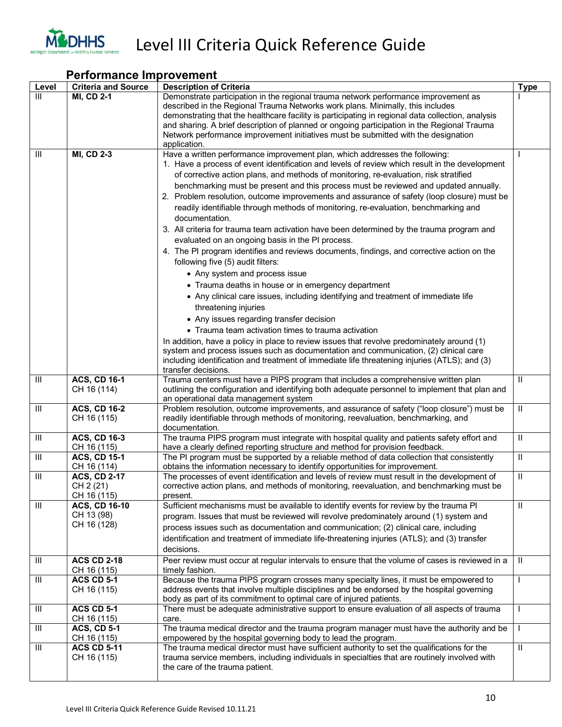

|                | <b>Performance Improvement</b>                    |                                                                                                                                                                                                                                                                                                                                                                                                                                                                                                                                                                                                                                                                                                                                                                                                                                                                                                                                                                                                                                                                                                                                                                                                                                                                                                                                                                                                                                                                                  |              |  |
|----------------|---------------------------------------------------|----------------------------------------------------------------------------------------------------------------------------------------------------------------------------------------------------------------------------------------------------------------------------------------------------------------------------------------------------------------------------------------------------------------------------------------------------------------------------------------------------------------------------------------------------------------------------------------------------------------------------------------------------------------------------------------------------------------------------------------------------------------------------------------------------------------------------------------------------------------------------------------------------------------------------------------------------------------------------------------------------------------------------------------------------------------------------------------------------------------------------------------------------------------------------------------------------------------------------------------------------------------------------------------------------------------------------------------------------------------------------------------------------------------------------------------------------------------------------------|--------------|--|
| Level          | <b>Criteria and Source</b>                        | <b>Description of Criteria</b>                                                                                                                                                                                                                                                                                                                                                                                                                                                                                                                                                                                                                                                                                                                                                                                                                                                                                                                                                                                                                                                                                                                                                                                                                                                                                                                                                                                                                                                   | <b>Type</b>  |  |
| $\mathsf{III}$ | <b>MI, CD 2-1</b>                                 | Demonstrate participation in the regional trauma network performance improvement as<br>described in the Regional Trauma Networks work plans. Minimally, this includes<br>demonstrating that the healthcare facility is participating in regional data collection, analysis<br>and sharing. A brief description of planned or ongoing participation in the Regional Trauma<br>Network performance improvement initiatives must be submitted with the designation<br>application.                                                                                                                                                                                                                                                                                                                                                                                                                                                                                                                                                                                                                                                                                                                                                                                                                                                                                                                                                                                                  |              |  |
| Ш              | <b>MI, CD 2-3</b>                                 | Have a written performance improvement plan, which addresses the following:<br>1. Have a process of event identification and levels of review which result in the development<br>of corrective action plans, and methods of monitoring, re-evaluation, risk stratified<br>benchmarking must be present and this process must be reviewed and updated annually.<br>2. Problem resolution, outcome improvements and assurance of safety (loop closure) must be<br>readily identifiable through methods of monitoring, re-evaluation, benchmarking and<br>documentation.<br>3. All criteria for trauma team activation have been determined by the trauma program and<br>evaluated on an ongoing basis in the PI process.<br>4. The PI program identifies and reviews documents, findings, and corrective action on the<br>following five (5) audit filters:<br>• Any system and process issue<br>• Trauma deaths in house or in emergency department<br>• Any clinical care issues, including identifying and treatment of immediate life<br>threatening injuries<br>• Any issues regarding transfer decision<br>• Trauma team activation times to trauma activation<br>In addition, have a policy in place to review issues that revolve predominately around (1)<br>system and process issues such as documentation and communication, (2) clinical care<br>including identification and treatment of immediate life threatening injuries (ATLS); and (3)<br>transfer decisions. |              |  |
| Ш              | <b>ACS, CD 16-1</b><br>CH 16 (114)                | Trauma centers must have a PIPS program that includes a comprehensive written plan<br>outlining the configuration and identifying both adequate personnel to implement that plan and<br>an operational data management system                                                                                                                                                                                                                                                                                                                                                                                                                                                                                                                                                                                                                                                                                                                                                                                                                                                                                                                                                                                                                                                                                                                                                                                                                                                    | Ш            |  |
| Ш              | <b>ACS, CD 16-2</b><br>CH 16 (115)                | Problem resolution, outcome improvements, and assurance of safety ("loop closure") must be<br>readily identifiable through methods of monitoring, reevaluation, benchmarking, and<br>documentation.                                                                                                                                                                                                                                                                                                                                                                                                                                                                                                                                                                                                                                                                                                                                                                                                                                                                                                                                                                                                                                                                                                                                                                                                                                                                              | $\rm H$      |  |
| Ш              | <b>ACS, CD 16-3</b><br>CH 16 (115)                | The trauma PIPS program must integrate with hospital quality and patients safety effort and<br>have a clearly defined reporting structure and method for provision feedback.                                                                                                                                                                                                                                                                                                                                                                                                                                                                                                                                                                                                                                                                                                                                                                                                                                                                                                                                                                                                                                                                                                                                                                                                                                                                                                     | $\mathbf{H}$ |  |
| Ш              | <b>ACS, CD 15-1</b><br>CH 16 (114)                | The PI program must be supported by a reliable method of data collection that consistently<br>obtains the information necessary to identify opportunities for improvement.                                                                                                                                                                                                                                                                                                                                                                                                                                                                                                                                                                                                                                                                                                                                                                                                                                                                                                                                                                                                                                                                                                                                                                                                                                                                                                       | $\mathbf{H}$ |  |
| Ш              | <b>ACS, CD 2-17</b><br>CH 2 (21)<br>CH 16 (115)   | The processes of event identification and levels of review must result in the development of<br>corrective action plans, and methods of monitoring, reevaluation, and benchmarking must be<br>present.                                                                                                                                                                                                                                                                                                                                                                                                                                                                                                                                                                                                                                                                                                                                                                                                                                                                                                                                                                                                                                                                                                                                                                                                                                                                           | Ш            |  |
| Ш              | <b>ACS, CD 16-10</b><br>CH 13 (98)<br>CH 16 (128) | Sufficient mechanisms must be available to identify events for review by the trauma PI<br>program. Issues that must be reviewed will revolve predominately around (1) system and<br>process issues such as documentation and communication; (2) clinical care, including<br>identification and treatment of immediate life-threatening injuries (ATLS); and (3) transfer<br>decisions.                                                                                                                                                                                                                                                                                                                                                                                                                                                                                                                                                                                                                                                                                                                                                                                                                                                                                                                                                                                                                                                                                           | Ш            |  |
| Ш              | <b>ACS CD 2-18</b><br>CH 16 (115)                 | Peer review must occur at regular intervals to ensure that the volume of cases is reviewed in a<br>timely fashion.                                                                                                                                                                                                                                                                                                                                                                                                                                                                                                                                                                                                                                                                                                                                                                                                                                                                                                                                                                                                                                                                                                                                                                                                                                                                                                                                                               | $\mathbf{H}$ |  |
| Ш              | <b>ACS CD 5-1</b><br>CH 16 (115)                  | Because the trauma PIPS program crosses many specialty lines, it must be empowered to<br>address events that involve multiple disciplines and be endorsed by the hospital governing<br>body as part of its commitment to optimal care of injured patients.                                                                                                                                                                                                                                                                                                                                                                                                                                                                                                                                                                                                                                                                                                                                                                                                                                                                                                                                                                                                                                                                                                                                                                                                                       | $\mathbf{I}$ |  |
| Ш              | <b>ACS CD 5-1</b><br>CH 16 (115)                  | There must be adequate administrative support to ensure evaluation of all aspects of trauma<br>care.                                                                                                                                                                                                                                                                                                                                                                                                                                                                                                                                                                                                                                                                                                                                                                                                                                                                                                                                                                                                                                                                                                                                                                                                                                                                                                                                                                             |              |  |
| Ш              | <b>ACS, CD 5-1</b><br>CH 16 (115)                 | The trauma medical director and the trauma program manager must have the authority and be<br>empowered by the hospital governing body to lead the program.                                                                                                                                                                                                                                                                                                                                                                                                                                                                                                                                                                                                                                                                                                                                                                                                                                                                                                                                                                                                                                                                                                                                                                                                                                                                                                                       | $\mathbf{I}$ |  |
| Ш              | <b>ACS CD 5-11</b><br>CH 16 (115)                 | The trauma medical director must have sufficient authority to set the qualifications for the<br>trauma service members, including individuals in specialties that are routinely involved with<br>the care of the trauma patient.                                                                                                                                                                                                                                                                                                                                                                                                                                                                                                                                                                                                                                                                                                                                                                                                                                                                                                                                                                                                                                                                                                                                                                                                                                                 | $\rm H$      |  |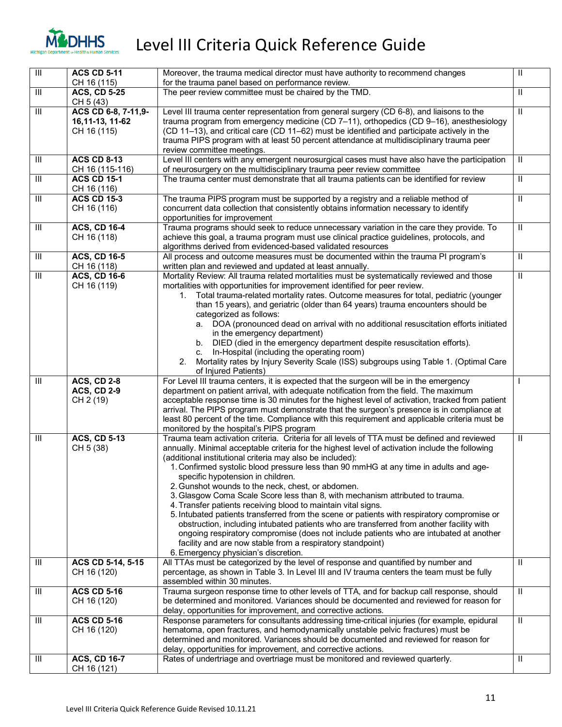

| $\overline{\mathbb{I}}$            | <b>ACS CD 5-11</b>                                    | Moreover, the trauma medical director must have authority to recommend changes                                                                                                                                                                                                                                                                                                                                                                                                                                                                                                                                                                                                                                                                                                                                                                                                                                                                                                               | $\mathbf{H}$            |
|------------------------------------|-------------------------------------------------------|----------------------------------------------------------------------------------------------------------------------------------------------------------------------------------------------------------------------------------------------------------------------------------------------------------------------------------------------------------------------------------------------------------------------------------------------------------------------------------------------------------------------------------------------------------------------------------------------------------------------------------------------------------------------------------------------------------------------------------------------------------------------------------------------------------------------------------------------------------------------------------------------------------------------------------------------------------------------------------------------|-------------------------|
|                                    | CH 16 (115)                                           | for the trauma panel based on performance review.                                                                                                                                                                                                                                                                                                                                                                                                                                                                                                                                                                                                                                                                                                                                                                                                                                                                                                                                            |                         |
| $\ensuremath{\mathsf{III}}\xspace$ | <b>ACS, CD 5-25</b><br>CH 5 (43)                      | The peer review committee must be chaired by the TMD.                                                                                                                                                                                                                                                                                                                                                                                                                                                                                                                                                                                                                                                                                                                                                                                                                                                                                                                                        | Ш                       |
| $\overline{\mathbb{H}}$            | ACS CD 6-8, 7-11,9-<br>16, 11-13, 11-62               | Level III trauma center representation from general surgery (CD 6-8), and liaisons to the<br>trauma program from emergency medicine (CD 7-11), orthopedics (CD 9-16), anesthesiology                                                                                                                                                                                                                                                                                                                                                                                                                                                                                                                                                                                                                                                                                                                                                                                                         | $\overline{\mathbb{I}}$ |
|                                    | CH 16 (115)                                           | (CD 11-13), and critical care (CD 11-62) must be identified and participate actively in the<br>trauma PIPS program with at least 50 percent attendance at multidisciplinary trauma peer<br>review committee meetings.                                                                                                                                                                                                                                                                                                                                                                                                                                                                                                                                                                                                                                                                                                                                                                        |                         |
| $\ensuremath{\mathsf{III}}\xspace$ | <b>ACS CD 8-13</b><br>CH 16 (115-116)                 | Level III centers with any emergent neurosurgical cases must have also have the participation<br>of neurosurgery on the multidisciplinary trauma peer review committee                                                                                                                                                                                                                                                                                                                                                                                                                                                                                                                                                                                                                                                                                                                                                                                                                       | $\mathbf{H}$            |
| $\ensuremath{\mathsf{III}}\xspace$ | <b>ACS CD 15-1</b><br>CH 16 (116)                     | The trauma center must demonstrate that all trauma patients can be identified for review                                                                                                                                                                                                                                                                                                                                                                                                                                                                                                                                                                                                                                                                                                                                                                                                                                                                                                     | Ш                       |
| $\overline{\mathbb{I}}$            | <b>ACS CD 15-3</b><br>CH 16 (116)                     | The trauma PIPS program must be supported by a registry and a reliable method of<br>concurrent data collection that consistently obtains information necessary to identify<br>opportunities for improvement                                                                                                                                                                                                                                                                                                                                                                                                                                                                                                                                                                                                                                                                                                                                                                                  | $\mathbf{I}$            |
| $\overline{\mathbb{I}}$            | <b>ACS, CD 16-4</b><br>CH 16 (118)                    | Trauma programs should seek to reduce unnecessary variation in the care they provide. To<br>achieve this goal, a trauma program must use clinical practice guidelines, protocols, and<br>algorithms derived from evidenced-based validated resources                                                                                                                                                                                                                                                                                                                                                                                                                                                                                                                                                                                                                                                                                                                                         | $\mathbf{I}$            |
| Ш                                  | <b>ACS, CD 16-5</b><br>CH 16 (118)                    | All process and outcome measures must be documented within the trauma PI program's<br>written plan and reviewed and updated at least annually.                                                                                                                                                                                                                                                                                                                                                                                                                                                                                                                                                                                                                                                                                                                                                                                                                                               | Ш                       |
| $\ensuremath{\mathsf{III}}\xspace$ | <b>ACS, CD 16-6</b><br>CH 16 (119)                    | Mortality Review: All trauma related mortalities must be systematically reviewed and those<br>mortalities with opportunities for improvement identified for peer review.<br>Total trauma-related mortality rates. Outcome measures for total, pediatric (younger<br>1.<br>than 15 years), and geriatric (older than 64 years) trauma encounters should be<br>categorized as follows:<br>a. DOA (pronounced dead on arrival with no additional resuscitation efforts initiated<br>in the emergency department)<br>b. DIED (died in the emergency department despite resuscitation efforts).<br>In-Hospital (including the operating room)<br>C.<br>Mortality rates by Injury Severity Scale (ISS) subgroups using Table 1. (Optimal Care<br>2.<br>of Injured Patients)                                                                                                                                                                                                                        | $\mathbf{I}$            |
| $\ensuremath{\mathsf{III}}\xspace$ | <b>ACS, CD 2-8</b><br><b>ACS, CD 2-9</b><br>CH 2 (19) | For Level III trauma centers, it is expected that the surgeon will be in the emergency<br>department on patient arrival, with adequate notification from the field. The maximum<br>acceptable response time is 30 minutes for the highest level of activation, tracked from patient<br>arrival. The PIPS program must demonstrate that the surgeon's presence is in compliance at<br>least 80 percent of the time. Compliance with this requirement and applicable criteria must be<br>monitored by the hospital's PIPS program                                                                                                                                                                                                                                                                                                                                                                                                                                                              |                         |
| $\ensuremath{\mathsf{III}}\xspace$ | <b>ACS, CD 5-13</b><br>CH 5 (38)                      | Trauma team activation criteria. Criteria for all levels of TTA must be defined and reviewed<br>annually. Minimal acceptable criteria for the highest level of activation include the following<br>(additional institutional criteria may also be included):<br>1. Confirmed systolic blood pressure less than 90 mmHG at any time in adults and age-<br>specific hypotension in children.<br>2. Gunshot wounds to the neck, chest, or abdomen.<br>3. Glasgow Coma Scale Score less than 8, with mechanism attributed to trauma.<br>4. Transfer patients receiving blood to maintain vital signs.<br>5. Intubated patients transferred from the scene or patients with respiratory compromise or<br>obstruction, including intubated patients who are transferred from another facility with<br>ongoing respiratory compromise (does not include patients who are intubated at another<br>facility and are now stable from a respiratory standpoint)<br>6. Emergency physician's discretion. | Ш                       |
| Ш                                  | ACS CD 5-14, 5-15<br>CH 16 (120)                      | All TTAs must be categorized by the level of response and quantified by number and<br>percentage, as shown in Table 3. In Level III and IV trauma centers the team must be fully<br>assembled within 30 minutes.                                                                                                                                                                                                                                                                                                                                                                                                                                                                                                                                                                                                                                                                                                                                                                             | Ш                       |
| Ш                                  | <b>ACS CD 5-16</b><br>CH 16 (120)                     | Trauma surgeon response time to other levels of TTA, and for backup call response, should<br>be determined and monitored. Variances should be documented and reviewed for reason for<br>delay, opportunities for improvement, and corrective actions.                                                                                                                                                                                                                                                                                                                                                                                                                                                                                                                                                                                                                                                                                                                                        | Ш                       |
| Ш                                  | <b>ACS CD 5-16</b><br>CH 16 (120)                     | Response parameters for consultants addressing time-critical injuries (for example, epidural<br>hematoma, open fractures, and hemodynamically unstable pelvic fractures) must be<br>determined and monitored. Variances should be documented and reviewed for reason for<br>delay, opportunities for improvement, and corrective actions.                                                                                                                                                                                                                                                                                                                                                                                                                                                                                                                                                                                                                                                    | Ш                       |
| Ш                                  | <b>ACS, CD 16-7</b><br>CH 16 (121)                    | Rates of undertriage and overtriage must be monitored and reviewed quarterly.                                                                                                                                                                                                                                                                                                                                                                                                                                                                                                                                                                                                                                                                                                                                                                                                                                                                                                                | Ш                       |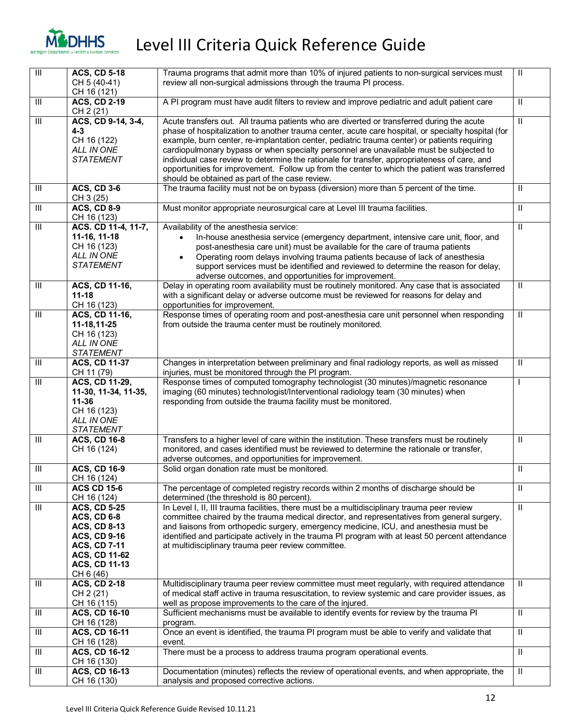

| $\overline{\mathbb{H}}$ | <b>ACS, CD 5-18</b>                                                                                                                                                         | Trauma programs that admit more than 10% of injured patients to non-surgical services must                                                                                                                                                                                                                                                                                                                                                                                                                                                                                                                                                    | $\mathbf{H}$            |
|-------------------------|-----------------------------------------------------------------------------------------------------------------------------------------------------------------------------|-----------------------------------------------------------------------------------------------------------------------------------------------------------------------------------------------------------------------------------------------------------------------------------------------------------------------------------------------------------------------------------------------------------------------------------------------------------------------------------------------------------------------------------------------------------------------------------------------------------------------------------------------|-------------------------|
|                         | CH 5 (40-41)<br>CH 16 (121)                                                                                                                                                 | review all non-surgical admissions through the trauma PI process.                                                                                                                                                                                                                                                                                                                                                                                                                                                                                                                                                                             |                         |
| Ш                       | <b>ACS, CD 2-19</b><br>CH 2 (21)                                                                                                                                            | A PI program must have audit filters to review and improve pediatric and adult patient care                                                                                                                                                                                                                                                                                                                                                                                                                                                                                                                                                   | Ш                       |
| III                     | ACS, CD 9-14, 3-4,<br>$4 - 3$<br>CH 16 (122)<br>ALL IN ONE<br><b>STATEMENT</b>                                                                                              | Acute transfers out. All trauma patients who are diverted or transferred during the acute<br>phase of hospitalization to another trauma center, acute care hospital, or specialty hospital (for<br>example, burn center, re-implantation center, pediatric trauma center) or patients requiring<br>cardiopulmonary bypass or when specialty personnel are unavailable must be subjected to<br>individual case review to determine the rationale for transfer, appropriateness of care, and<br>opportunities for improvement. Follow up from the center to which the patient was transferred<br>should be obtained as part of the case review. | $\mathbf{H}$            |
| Ш                       | <b>ACS, CD 3-6</b><br>CH 3 (25)                                                                                                                                             | The trauma facility must not be on bypass (diversion) more than 5 percent of the time.                                                                                                                                                                                                                                                                                                                                                                                                                                                                                                                                                        | $\mathbf{H}$            |
| $\overline{\mathbb{H}}$ | <b>ACS, CD 8-9</b><br>CH 16 (123)                                                                                                                                           | Must monitor appropriate neurosurgical care at Level III trauma facilities.                                                                                                                                                                                                                                                                                                                                                                                                                                                                                                                                                                   | $\mathbf{H}$            |
| Ш                       | ACS. CD 11-4, 11-7,<br>11-16, 11-18<br>CH 16 (123)<br>ALL IN ONE<br><b>STATEMENT</b>                                                                                        | Availability of the anesthesia service:<br>In-house anesthesia service (emergency department, intensive care unit, floor, and<br>post-anesthesia care unit) must be available for the care of trauma patients<br>Operating room delays involving trauma patients because of lack of anesthesia<br>support services must be identified and reviewed to determine the reason for delay,<br>adverse outcomes, and opportunities for improvement.                                                                                                                                                                                                 | $\mathbf{H}$            |
| Ш                       | ACS, CD 11-16,<br>$11 - 18$<br>CH 16 (123)                                                                                                                                  | Delay in operating room availability must be routinely monitored. Any case that is associated<br>with a significant delay or adverse outcome must be reviewed for reasons for delay and<br>opportunities for improvement.                                                                                                                                                                                                                                                                                                                                                                                                                     | Ш                       |
| Ш                       | ACS, CD 11-16,<br>11-18,11-25<br>CH 16 (123)<br>ALL IN ONE<br><b>STATEMENT</b>                                                                                              | Response times of operating room and post-anesthesia care unit personnel when responding<br>from outside the trauma center must be routinely monitored.                                                                                                                                                                                                                                                                                                                                                                                                                                                                                       | $\mathbf{H}$            |
| Ш                       | <b>ACS, CD 11-37</b><br>CH 11 (79)                                                                                                                                          | Changes in interpretation between preliminary and final radiology reports, as well as missed<br>injuries, must be monitored through the PI program.                                                                                                                                                                                                                                                                                                                                                                                                                                                                                           | $\mathbf{H}$            |
| Ш                       | ACS, CD 11-29,<br>11-30, 11-34, 11-35,<br>$11 - 36$<br>CH 16 (123)<br>ALL IN ONE<br><b>STATEMENT</b>                                                                        | Response times of computed tomography technologist (30 minutes)/magnetic resonance<br>imaging (60 minutes) technologist/Interventional radiology team (30 minutes) when<br>responding from outside the trauma facility must be monitored.                                                                                                                                                                                                                                                                                                                                                                                                     | I                       |
| Ш                       | <b>ACS, CD 16-8</b><br>CH 16 (124)                                                                                                                                          | Transfers to a higher level of care within the institution. These transfers must be routinely<br>monitored, and cases identified must be reviewed to determine the rationale or transfer,<br>adverse outcomes, and opportunities for improvement.                                                                                                                                                                                                                                                                                                                                                                                             | Ш                       |
| Ш                       | <b>ACS, CD 16-9</b><br>CH 16 (124)                                                                                                                                          | Solid organ donation rate must be monitored.                                                                                                                                                                                                                                                                                                                                                                                                                                                                                                                                                                                                  | Ш                       |
| Ш                       | <b>ACS CD 15-6</b><br>CH 16 (124)                                                                                                                                           | The percentage of completed registry records within 2 months of discharge should be<br>determined (the threshold is 80 percent).                                                                                                                                                                                                                                                                                                                                                                                                                                                                                                              | Ш                       |
| $\overline{\mathbb{H}}$ | <b>ACS, CD 5-25</b><br><b>ACS, CD 6-8</b><br><b>ACS, CD 8-13</b><br><b>ACS, CD 9-16</b><br><b>ACS, CD 7-11</b><br><b>ACS, CD 11-62</b><br><b>ACS, CD 11-13</b><br>CH 6 (46) | In Level I, II, III trauma facilities, there must be a multidisciplinary trauma peer review<br>committee chaired by the trauma medical director, and representatives from general surgery,<br>and liaisons from orthopedic surgery, emergency medicine, ICU, and anesthesia must be<br>identified and participate actively in the trauma PI program with at least 50 percent attendance<br>at multidisciplinary trauma peer review committee.                                                                                                                                                                                                 | $\overline{\mathbb{I}}$ |
| Ш                       | <b>ACS, CD 2-18</b><br>CH 2 (21)<br>CH 16 (115)                                                                                                                             | Multidisciplinary trauma peer review committee must meet regularly, with required attendance<br>of medical staff active in trauma resuscitation, to review systemic and care provider issues, as<br>well as propose improvements to the care of the injured.                                                                                                                                                                                                                                                                                                                                                                                  | Ш                       |
| Ш                       | <b>ACS, CD 16-10</b><br>CH 16 (128)                                                                                                                                         | Sufficient mechanisms must be available to identify events for review by the trauma PI<br>program.                                                                                                                                                                                                                                                                                                                                                                                                                                                                                                                                            | $\mathbf{H}$            |
| Ш                       | <b>ACS, CD 16-11</b><br>CH 16 (128)                                                                                                                                         | Once an event is identified, the trauma PI program must be able to verify and validate that<br>event.                                                                                                                                                                                                                                                                                                                                                                                                                                                                                                                                         | $\mathbf{H}$            |
| Ш                       | <b>ACS, CD 16-12</b><br>CH 16 (130)                                                                                                                                         | There must be a process to address trauma program operational events.                                                                                                                                                                                                                                                                                                                                                                                                                                                                                                                                                                         | $\mathbf{H}$            |
| Ш                       | <b>ACS, CD 16-13</b><br>CH 16 (130)                                                                                                                                         | Documentation (minutes) reflects the review of operational events, and when appropriate, the<br>analysis and proposed corrective actions.                                                                                                                                                                                                                                                                                                                                                                                                                                                                                                     | $\mathbf{H}$            |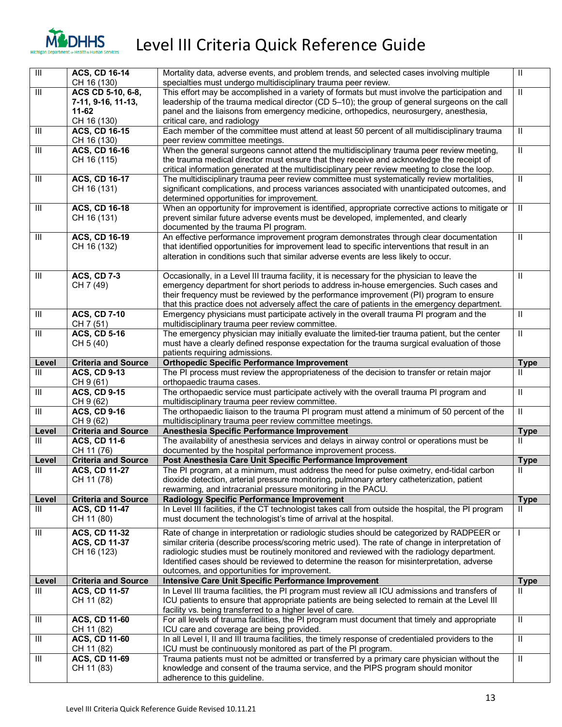

|                                    | <b>ACS, CD 16-14</b>                | Mortality data, adverse events, and problem trends, and selected cases involving multiple                                                                  | $\rm H$                     |
|------------------------------------|-------------------------------------|------------------------------------------------------------------------------------------------------------------------------------------------------------|-----------------------------|
| $\overline{\mathbb{H}}$            | CH 16 (130)                         | specialties must undergo multidisciplinary trauma peer review.                                                                                             |                             |
| $\overline{\mathbb{H}}$            | ACS CD 5-10, 6-8,                   | This effort may be accomplished in a variety of formats but must involve the participation and                                                             | $\mathbf{H}$                |
|                                    | 7-11, 9-16, 11-13,                  | leadership of the trauma medical director (CD 5-10); the group of general surgeons on the call                                                             |                             |
|                                    | 11-62                               | panel and the liaisons from emergency medicine, orthopedics, neurosurgery, anesthesia,                                                                     |                             |
|                                    | CH 16 (130)                         |                                                                                                                                                            |                             |
| $\mathbf{III}$                     | <b>ACS, CD 16-15</b>                | critical care, and radiology<br>Each member of the committee must attend at least 50 percent of all multidisciplinary trauma                               | $\mathbf{H}$                |
|                                    |                                     |                                                                                                                                                            |                             |
| $\ensuremath{\mathsf{III}}\xspace$ | CH 16 (130)<br><b>ACS, CD 16-16</b> | peer review committee meetings.<br>When the general surgeons cannot attend the multidisciplinary trauma peer review meeting,                               | Ш                           |
|                                    | CH 16 (115)                         | the trauma medical director must ensure that they receive and acknowledge the receipt of                                                                   |                             |
|                                    |                                     | critical information generated at the multidisciplinary peer review meeting to close the loop.                                                             |                             |
| $\ensuremath{\mathsf{III}}\xspace$ | <b>ACS, CD 16-17</b>                | The multidisciplinary trauma peer review committee must systematically review mortalities,                                                                 | Ш                           |
|                                    | CH 16 (131)                         | significant complications, and process variances associated with unanticipated outcomes, and                                                               |                             |
|                                    |                                     | determined opportunities for improvement.                                                                                                                  |                             |
| $\ensuremath{\mathsf{III}}\xspace$ | <b>ACS, CD 16-18</b>                | When an opportunity for improvement is identified, appropriate corrective actions to mitigate or                                                           | $\rm H$                     |
|                                    | CH 16 (131)                         | prevent similar future adverse events must be developed, implemented, and clearly                                                                          |                             |
|                                    |                                     | documented by the trauma PI program.                                                                                                                       |                             |
| $\ensuremath{\mathsf{III}}\xspace$ | <b>ACS, CD 16-19</b>                | An effective performance improvement program demonstrates through clear documentation                                                                      | Ш                           |
|                                    | CH 16 (132)                         | that identified opportunities for improvement lead to specific interventions that result in an                                                             |                             |
|                                    |                                     | alteration in conditions such that similar adverse events are less likely to occur.                                                                        |                             |
|                                    |                                     |                                                                                                                                                            |                             |
| Ш                                  | <b>ACS, CD 7-3</b>                  | Occasionally, in a Level III trauma facility, it is necessary for the physician to leave the                                                               | Ш                           |
|                                    | CH 7 (49)                           | emergency department for short periods to address in-house emergencies. Such cases and                                                                     |                             |
|                                    |                                     | their frequency must be reviewed by the performance improvement (PI) program to ensure                                                                     |                             |
|                                    |                                     | that this practice does not adversely affect the care of patients in the emergency department.                                                             |                             |
| $\ensuremath{\mathsf{III}}\xspace$ | <b>ACS, CD 7-10</b>                 | Emergency physicians must participate actively in the overall trauma PI program and the                                                                    | $\mathbf{H}$                |
|                                    | CH 7 (51)                           | multidisciplinary trauma peer review committee.                                                                                                            |                             |
| $\ensuremath{\mathsf{III}}\xspace$ | <b>ACS, CD 5-16</b>                 | The emergency physician may initially evaluate the limited-tier trauma patient, but the center                                                             | Ш                           |
|                                    | CH 5 (40)                           | must have a clearly defined response expectation for the trauma surgical evaluation of those                                                               |                             |
|                                    |                                     | patients requiring admissions.                                                                                                                             |                             |
| Level                              | <b>Criteria and Source</b>          | <b>Orthopedic Specific Performance Improvement</b>                                                                                                         | <b>Type</b>                 |
| Ш                                  | <b>ACS, CD 9-13</b>                 | The PI process must review the appropriateness of the decision to transfer or retain major                                                                 | Ш                           |
|                                    | CH 9 (61)                           | orthopaedic trauma cases.                                                                                                                                  |                             |
|                                    |                                     |                                                                                                                                                            |                             |
|                                    |                                     |                                                                                                                                                            |                             |
| Ш                                  | <b>ACS, CD 9-15</b>                 | The orthopaedic service must participate actively with the overall trauma PI program and                                                                   | $\mathbf{H}$                |
|                                    | CH 9 (62)                           | multidisciplinary trauma peer review committee.                                                                                                            |                             |
| $\mathbf{III}$                     | <b>ACS, CD 9-16</b><br>CH 9 (62)    | The orthopaedic liaison to the trauma PI program must attend a minimum of 50 percent of the                                                                | Ш                           |
| Level                              |                                     | multidisciplinary trauma peer review committee meetings.                                                                                                   |                             |
| $\mathbf{III}$                     | <b>Criteria and Source</b>          | Anesthesia Specific Performance Improvement                                                                                                                | <b>Type</b><br>Ш            |
|                                    | <b>ACS, CD 11-6</b><br>CH 11 (76)   | The availability of anesthesia services and delays in airway control or operations must be                                                                 |                             |
| Level                              | <b>Criteria and Source</b>          | documented by the hospital performance improvement process.<br>Post Anesthesia Care Unit Specific Performance Improvement                                  |                             |
| Ш                                  |                                     |                                                                                                                                                            | <b>Type</b><br>$\mathbf{H}$ |
|                                    | <b>ACS, CD 11-27</b><br>CH 11 (78)  | The PI program, at a minimum, must address the need for pulse oximetry, end-tidal carbon                                                                   |                             |
|                                    |                                     | dioxide detection, arterial pressure monitoring, pulmonary artery catheterization, patient<br>rewarming, and intracranial pressure monitoring in the PACU. |                             |
| Level                              | <b>Criteria and Source</b>          | <b>Radiology Specific Performance Improvement</b>                                                                                                          | <b>Type</b>                 |
| Ш                                  | <b>ACS, CD 11-47</b>                | In Level III facilities, if the CT technologist takes call from outside the hospital, the PI program                                                       | Ш                           |
|                                    | CH 11 (80)                          | must document the technologist's time of arrival at the hospital.                                                                                          |                             |
|                                    |                                     |                                                                                                                                                            |                             |
| $\mathsf{III}$                     | <b>ACS, CD 11-32</b>                | Rate of change in interpretation or radiologic studies should be categorized by RADPEER or                                                                 |                             |
|                                    | <b>ACS, CD 11-37</b>                | similar criteria (describe process/scoring metric used). The rate of change in interpretation of                                                           |                             |
|                                    | CH 16 (123)                         | radiologic studies must be routinely monitored and reviewed with the radiology department.                                                                 |                             |
|                                    |                                     | Identified cases should be reviewed to determine the reason for misinterpretation, adverse                                                                 |                             |
|                                    |                                     | outcomes, and opportunities for improvement.                                                                                                               |                             |
| Level                              | <b>Criteria and Source</b>          | Intensive Care Unit Specific Performance Improvement                                                                                                       | <b>Type</b>                 |
| $\mathsf{III}$                     | ACS, CD 11-57                       | In Level III trauma facilities, the PI program must review all ICU admissions and transfers of                                                             | Ш                           |
|                                    | CH 11 (82)                          | ICU patients to ensure that appropriate patients are being selected to remain at the Level III                                                             |                             |
|                                    |                                     | facility vs. being transferred to a higher level of care.                                                                                                  |                             |
| Ш                                  | <b>ACS, CD 11-60</b>                | For all levels of trauma facilities, the PI program must document that timely and appropriate                                                              | $\mathbf{H}$                |
|                                    | CH 11 (82)                          | ICU care and coverage are being provided.                                                                                                                  |                             |
| Ш                                  | <b>ACS, CD 11-60</b>                | In all Level I, II and III trauma facilities, the timely response of credentialed providers to the                                                         | $\mathbf{H}$                |
|                                    | CH 11 (82)                          | ICU must be continuously monitored as part of the PI program.                                                                                              |                             |
| $\ensuremath{\mathsf{III}}\xspace$ | ACS, CD 11-69                       | Trauma patients must not be admitted or transferred by a primary care physician without the                                                                | $\overline{\mathbb{I}}$     |
|                                    | CH 11 (83)                          | knowledge and consent of the trauma service, and the PIPS program should monitor<br>adherence to this guideline.                                           |                             |